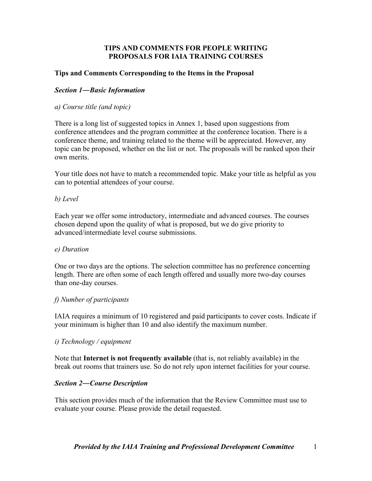# **TIPS AND COMMENTS FOR PEOPLE WRITING PROPOSALS FOR IAIA TRAINING COURSES**

# **Tips and Comments Corresponding to the Items in the Proposal**

# *Section 1―Basic Information*

#### *a) Course title (and topic)*

There is a long list of suggested topics in Annex 1, based upon suggestions from conference attendees and the program committee at the conference location. There is a conference theme, and training related to the theme will be appreciated. However, any topic can be proposed, whether on the list or not. The proposals will be ranked upon their own merits.

Your title does not have to match a recommended topic. Make your title as helpful as you can to potential attendees of your course.

#### *b) Level*

Each year we offer some introductory, intermediate and advanced courses. The courses chosen depend upon the quality of what is proposed, but we do give priority to advanced/intermediate level course submissions.

#### *e) Duration*

One or two days are the options. The selection committee has no preference concerning length. There are often some of each length offered and usually more two-day courses than one-day courses.

#### *f) Number of participants*

IAIA requires a minimum of 10 registered and paid participants to cover costs. Indicate if your minimum is higher than 10 and also identify the maximum number.

#### *i) Technology / equipment*

Note that **Internet is not frequently available** (that is, not reliably available) in the break out rooms that trainers use. So do not rely upon internet facilities for your course.

#### *Section 2―Course Description*

This section provides much of the information that the Review Committee must use to evaluate your course. Please provide the detail requested.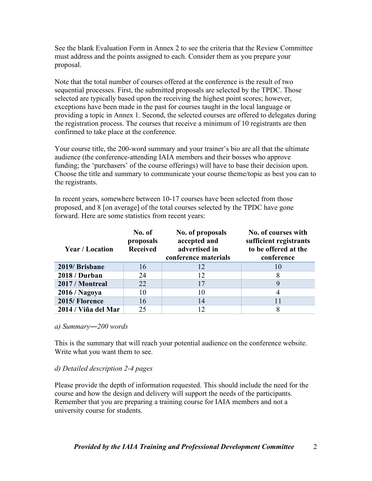See the blank Evaluation Form in Annex 2 to see the criteria that the Review Committee must address and the points assigned to each. Consider them as you prepare your proposal.

Note that the total number of courses offered at the conference is the result of two sequential processes. First, the submitted proposals are selected by the TPDC. Those selected are typically based upon the receiving the highest point scores; however, exceptions have been made in the past for courses taught in the local language or providing a topic in Annex 1. Second, the selected courses are offered to delegates during the registration process. The courses that receive a minimum of 10 registrants are then confirmed to take place at the conference.

Your course title, the 200-word summary and your trainer's bio are all that the ultimate audience (the conference-attending IAIA members and their bosses who approve funding; the 'purchasers' of the course offerings) will have to base their decision upon. Choose the title and summary to communicate your course theme/topic as best you can to the registrants.

In recent years, somewhere between 10-17 courses have been selected from those proposed, and 8 [on average] of the total courses selected by the TPDC have gone forward. Here are some statistics from recent years:

| <b>Year / Location</b> | No. of<br>proposals<br><b>Received</b> | No. of proposals<br>accepted and<br>advertised in<br>conference materials | No. of courses with<br>sufficient registrants<br>to be offered at the<br>conference |
|------------------------|----------------------------------------|---------------------------------------------------------------------------|-------------------------------------------------------------------------------------|
| 2019/ Brisbane         | 16                                     | 12                                                                        | 10                                                                                  |
| <b>2018 / Durban</b>   | 24                                     | 12                                                                        | 8                                                                                   |
| 2017 / Montreal        | 22                                     | 17                                                                        | 9                                                                                   |
| 2016 / Nagoya          | 10                                     | 10                                                                        |                                                                                     |
| 2015/ Florence         | 16                                     | 14                                                                        | 11                                                                                  |
| 2014 / Viña del Mar    | 25                                     | 12                                                                        | 8                                                                                   |

#### *a) Summary―200 words*

This is the summary that will reach your potential audience on the conference website. Write what you want them to see.

# *d) Detailed description 2-4 pages*

Please provide the depth of information requested. This should include the need for the course and how the design and delivery will support the needs of the participants. Remember that you are preparing a training course for IAIA members and not a university course for students.